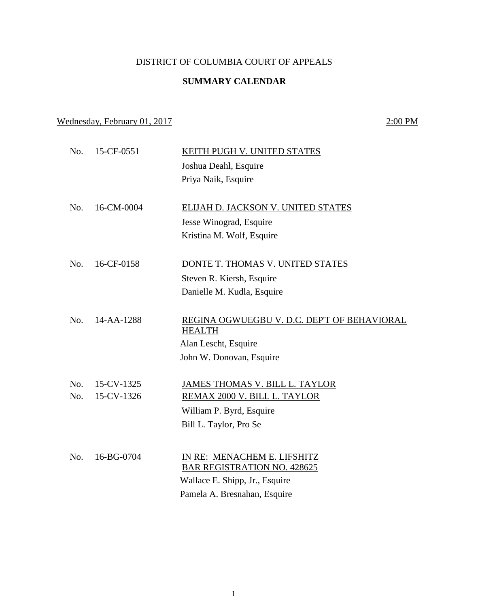## DISTRICT OF COLUMBIA COURT OF APPEALS

## **SUMMARY CALENDAR**

Wednesday, February 01, 2017 2:00 PM

No. 15-CF-0551 KEITH PUGH V. UNITED STATES Joshua Deahl, Esquire Priya Naik, Esquire No. 16-CM-0004 ELIJAH D. JACKSON V. UNITED STATES Jesse Winograd, Esquire Kristina M. Wolf, Esquire No. 16-CF-0158 DONTE T. THOMAS V. UNITED STATES Steven R. Kiersh, Esquire Danielle M. Kudla, Esquire No. 14-AA-1288 REGINA OGWUEGBU V. D.C. DEP'T OF BEHAVIORAL HEALTH Alan Lescht, Esquire John W. Donovan, Esquire No. 15-CV-1325 JAMES THOMAS V. BILL L. TAYLOR No. 15-CV-1326 REMAX 2000 V. BILL L. TAYLOR William P. Byrd, Esquire Bill L. Taylor, Pro Se No. 16-BG-0704 IN RE: MENACHEM E. LIFSHITZ BAR REGISTRATION NO. 428625 Wallace E. Shipp, Jr., Esquire Pamela A. Bresnahan, Esquire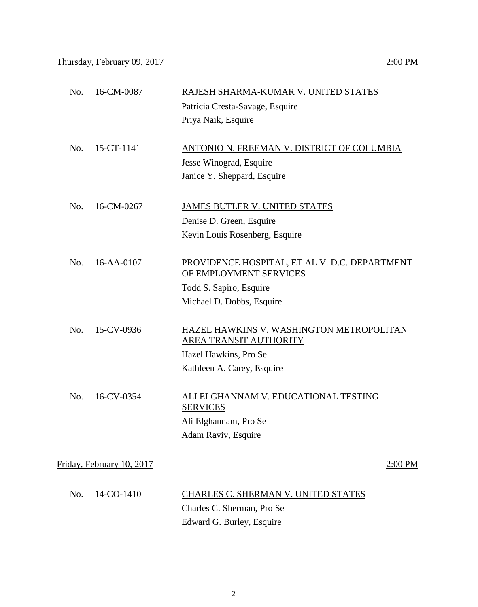| No. | 16-CM-0087                | RAJESH SHARMA-KUMAR V. UNITED STATES                                    |
|-----|---------------------------|-------------------------------------------------------------------------|
|     |                           | Patricia Cresta-Savage, Esquire                                         |
|     |                           | Priya Naik, Esquire                                                     |
| No. | 15-CT-1141                | ANTONIO N. FREEMAN V. DISTRICT OF COLUMBIA                              |
|     |                           | Jesse Winograd, Esquire                                                 |
|     |                           | Janice Y. Sheppard, Esquire                                             |
| No. | 16-CM-0267                | <b>JAMES BUTLER V. UNITED STATES</b>                                    |
|     |                           | Denise D. Green, Esquire                                                |
|     |                           | Kevin Louis Rosenberg, Esquire                                          |
|     |                           |                                                                         |
| No. | 16-AA-0107                | PROVIDENCE HOSPITAL, ET AL V. D.C. DEPARTMENT<br>OF EMPLOYMENT SERVICES |
|     |                           | Todd S. Sapiro, Esquire                                                 |
|     |                           | Michael D. Dobbs, Esquire                                               |
| No. | 15-CV-0936                | <b>HAZEL HAWKINS V. WASHINGTON METROPOLITAN</b>                         |
|     |                           | AREA TRANSIT AUTHORITY                                                  |
|     |                           | Hazel Hawkins, Pro Se                                                   |
|     |                           | Kathleen A. Carey, Esquire                                              |
| No. | 16-CV-0354                | ALI ELGHANNAM V. EDUCATIONAL TESTING<br><b>SERVICES</b>                 |
|     |                           | Ali Elghannam, Pro Se                                                   |
|     |                           | Adam Raviv, Esquire                                                     |
|     | Friday, February 10, 2017 | $2:00$ PM                                                               |
|     |                           |                                                                         |
| No. | 14-CO-1410                | CHARLES C. SHERMAN V. UNITED STATES                                     |
|     |                           | Charles C. Sherman, Pro Se                                              |
|     |                           | Edward G. Burley, Esquire                                               |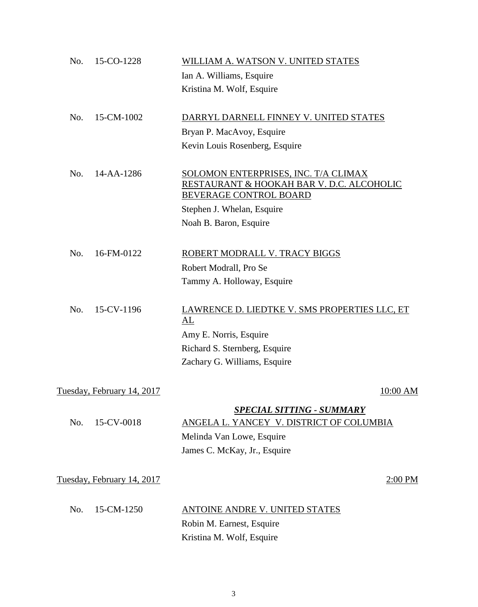| No. | 15-CO-1228                 | WILLIAM A. WATSON V. UNITED STATES                                                                                                        |            |
|-----|----------------------------|-------------------------------------------------------------------------------------------------------------------------------------------|------------|
|     |                            | Ian A. Williams, Esquire                                                                                                                  |            |
|     |                            | Kristina M. Wolf, Esquire                                                                                                                 |            |
| No. | 15-CM-1002                 | DARRYL DARNELL FINNEY V. UNITED STATES                                                                                                    |            |
|     |                            | Bryan P. MacAvoy, Esquire                                                                                                                 |            |
|     |                            | Kevin Louis Rosenberg, Esquire                                                                                                            |            |
| No. | 14-AA-1286                 | SOLOMON ENTERPRISES, INC. T/A CLIMAX<br>RESTAURANT & HOOKAH BAR V. D.C. ALCOHOLIC<br><b>BEVERAGE CONTROL BOARD</b>                        |            |
|     |                            | Stephen J. Whelan, Esquire                                                                                                                |            |
|     |                            | Noah B. Baron, Esquire                                                                                                                    |            |
| No. | 16-FM-0122                 | ROBERT MODRALL V. TRACY BIGGS                                                                                                             |            |
|     |                            | Robert Modrall, Pro Se                                                                                                                    |            |
|     |                            | Tammy A. Holloway, Esquire                                                                                                                |            |
| No. | 15-CV-1196                 | LAWRENCE D. LIEDTKE V. SMS PROPERTIES LLC, ET<br>AL                                                                                       |            |
|     |                            | Amy E. Norris, Esquire                                                                                                                    |            |
|     |                            | Richard S. Sternberg, Esquire                                                                                                             |            |
|     |                            | Zachary G. Williams, Esquire                                                                                                              |            |
|     | Tuesday, February 14, 2017 |                                                                                                                                           | $10:00$ AM |
| No. | 15-CV-0018                 | <b>SPECIAL SITTING - SUMMARY</b><br>ANGELA L. YANCEY V. DISTRICT OF COLUMBIA<br>Melinda Van Lowe, Esquire<br>James C. McKay, Jr., Esquire |            |
|     | Tuesday, February 14, 2017 |                                                                                                                                           | $2:00$ PM  |
| No. | 15-CM-1250                 | ANTOINE ANDRE V. UNITED STATES                                                                                                            |            |
|     |                            | Robin M. Earnest, Esquire                                                                                                                 |            |
|     |                            | Kristina M. Wolf, Esquire                                                                                                                 |            |
|     |                            |                                                                                                                                           |            |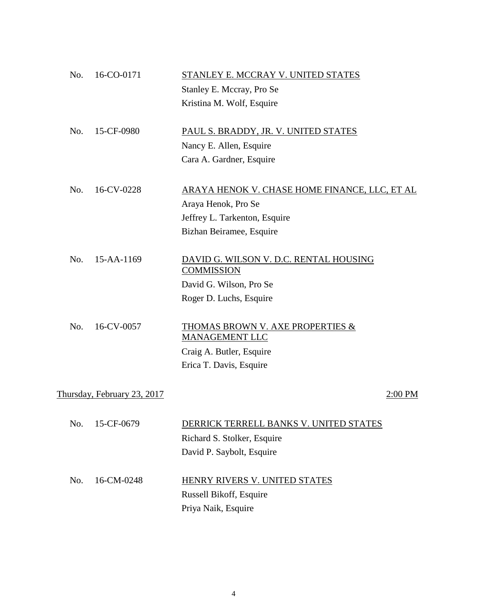| No. | 16-CO-0171                  | STANLEY E. MCCRAY V. UNITED STATES                            |         |
|-----|-----------------------------|---------------------------------------------------------------|---------|
|     |                             | Stanley E. Mccray, Pro Se                                     |         |
|     |                             | Kristina M. Wolf, Esquire                                     |         |
| No. | 15-CF-0980                  | PAUL S. BRADDY, JR. V. UNITED STATES                          |         |
|     |                             | Nancy E. Allen, Esquire                                       |         |
|     |                             | Cara A. Gardner, Esquire                                      |         |
| No. | 16-CV-0228                  | ARAYA HENOK V. CHASE HOME FINANCE, LLC, ET AL                 |         |
|     |                             | Araya Henok, Pro Se                                           |         |
|     |                             | Jeffrey L. Tarkenton, Esquire                                 |         |
|     |                             | Bizhan Beiramee, Esquire                                      |         |
| No. | 15-AA-1169                  | DAVID G. WILSON V. D.C. RENTAL HOUSING<br><b>COMMISSION</b>   |         |
|     |                             | David G. Wilson, Pro Se                                       |         |
|     |                             | Roger D. Luchs, Esquire                                       |         |
| No. | 16-CV-0057                  | <b>THOMAS BROWN V. AXE PROPERTIES &amp;</b><br>MANAGEMENT LLC |         |
|     |                             | Craig A. Butler, Esquire                                      |         |
|     |                             | Erica T. Davis, Esquire                                       |         |
|     | Thursday, February 23, 2017 |                                                               | 2:00 PM |
| No. | 15-CF-0679                  | DERRICK TERRELL BANKS V. UNITED STATES                        |         |
|     |                             | Richard S. Stolker, Esquire                                   |         |
|     |                             | David P. Saybolt, Esquire                                     |         |
| No. | 16-CM-0248                  | HENRY RIVERS V. UNITED STATES                                 |         |
|     |                             | Russell Bikoff, Esquire                                       |         |
|     |                             | Priya Naik, Esquire                                           |         |
|     |                             |                                                               |         |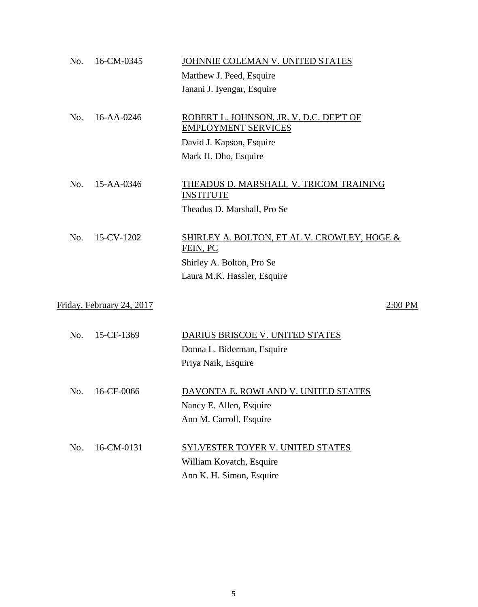| No. | 16-CM-0345                | JOHNNIE COLEMAN V. UNITED STATES                                      |
|-----|---------------------------|-----------------------------------------------------------------------|
|     |                           | Matthew J. Peed, Esquire                                              |
|     |                           | Janani J. Iyengar, Esquire                                            |
| No. | 16-AA-0246                | ROBERT L. JOHNSON, JR. V. D.C. DEP'T OF<br><b>EMPLOYMENT SERVICES</b> |
|     |                           | David J. Kapson, Esquire                                              |
|     |                           | Mark H. Dho, Esquire                                                  |
| No. | 15-AA-0346                | THEADUS D. MARSHALL V. TRICOM TRAINING<br><b>INSTITUTE</b>            |
|     |                           | Theadus D. Marshall, Pro Se                                           |
| No. | 15-CV-1202                | SHIRLEY A. BOLTON, ET AL V. CROWLEY, HOGE &<br>FEIN, PC               |
|     |                           | Shirley A. Bolton, Pro Se                                             |
|     |                           | Laura M.K. Hassler, Esquire                                           |
|     | Friday, February 24, 2017 | $2:00$ PM                                                             |
| No. | 15-CF-1369                | DARIUS BRISCOE V. UNITED STATES                                       |
|     |                           | Donna L. Biderman, Esquire                                            |
|     |                           | Priya Naik, Esquire                                                   |
| No. | 16-CF-0066                | DAVONTA E. ROWLAND V. UNITED STATES                                   |
|     |                           | Nancy E. Allen, Esquire                                               |
|     |                           | Ann M. Carroll, Esquire                                               |
| No. | 16-CM-0131                | <b>SYLVESTER TOYER V. UNITED STATES</b>                               |
|     |                           | William Kovatch, Esquire                                              |
|     |                           | Ann K. H. Simon, Esquire                                              |
|     |                           |                                                                       |